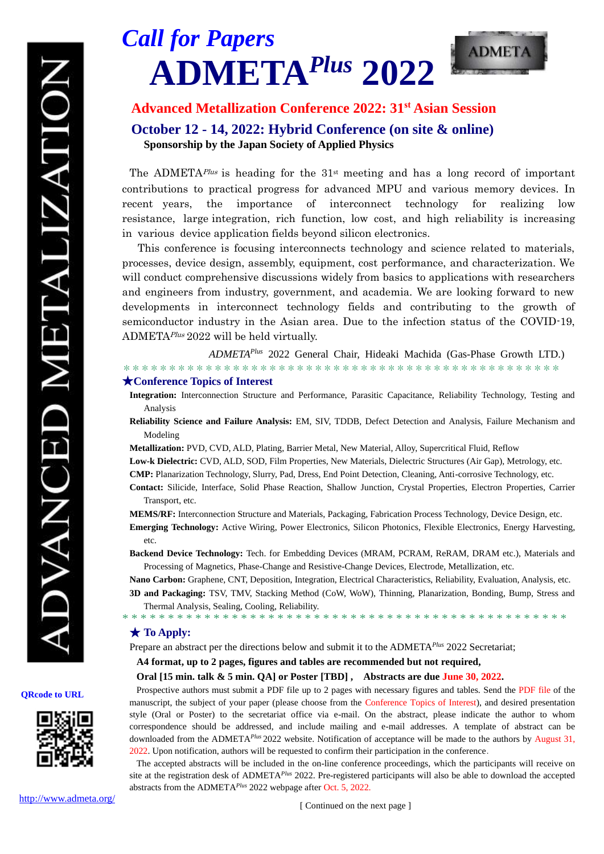

# **Advanced Metallization Conference 2022: 31st Asian Session October 12 - 14, 2022: Hybrid Conference (on site & online) Sponsorship by the Japan Society of Applied Physics**

The ADMETA<sup>*Plus*</sup> is heading for the  $31<sup>st</sup>$  meeting and has a long record of important contributions to practical progress for advanced MPU and various memory devices. In recent years, the importance of interconnect technology for realizing low resistance, large integration, rich function, low cost, and high reliability is increasing in various device application fields beyond silicon electronics.

This conference is focusing interconnects technology and science related to materials, processes, device design, assembly, equipment, cost performance, and characterization. We will conduct comprehensive discussions widely from basics to applications with researchers and engineers from industry, government, and academia. We are looking forward to new developments in interconnect technology fields and contributing to the growth of semiconductor industry in the Asian area. Due to the infection status of the COVID-19, ADMETA<sup>*Plus*</sup> 2022 will be held virtually.

*ADMETA Plus* 2022 General Chair, Hideaki Machida (Gas-Phase Growth LTD.)

\*\*\*\*\*\*\*\*\*\*\*\*\*\*\*\*\*\*\*\*\*\*\*\*\*\*\*\*\*\*\*\*\*\*\*\*\*\*\*\*\*\*\*\*\*\*\*\*

#### ★**Conference Topics of Interest**

- **Integration:** Interconnection Structure and Performance, Parasitic Capacitance, Reliability Technology, Testing and Analysis
- **Reliability Science and Failure Analysis:** EM, SIV, TDDB, Defect Detection and Analysis, Failure Mechanism and Modeling

**Metallization:** PVD, CVD, ALD, Plating, Barrier Metal, New Material, Alloy, Supercritical Fluid, Reflow

**Low-k Dielectric:** CVD, ALD, SOD, Film Properties, New Materials, Dielectric Structures (Air Gap), Metrology, etc.

**CMP:** Planarization Technology, Slurry, Pad, Dress, End Point Detection, Cleaning, Anti-corrosive Technology, etc.

- **Contact:** Silicide, Interface, Solid Phase Reaction, Shallow Junction, Crystal Properties, Electron Properties, Carrier Transport, etc.
- **MEMS/RF:** Interconnection Structure and Materials, Packaging, Fabrication Process Technology, Device Design, etc. **Emerging Technology:** Active Wiring, Power Electronics, Silicon Photonics, Flexible Electronics, Energy Harvesting,

etc.

**Backend Device Technology:** Tech. for Embedding Devices (MRAM, PCRAM, ReRAM, DRAM etc.), Materials and Processing of Magnetics, Phase-Change and Resistive-Change Devices, Electrode, Metallization, etc.

**Nano Carbon:** Graphene, CNT, Deposition, Integration, Electrical Characteristics, Reliability, Evaluation, Analysis, etc.

**3D and Packaging:** TSV, TMV, Stacking Method (CoW, WoW), Thinning, Planarization, Bonding, Bump, Stress and Thermal Analysis, Sealing, Cooling, Reliability.

\* \* \* \* \* \* \* \* \* \* \* \* \* \* \* \* \* \* \* \* \* \* \* \* \* \* \* \* \* \* \* \* \* \* \* \* \* \* \* \* \* \* \* \* \* \* \* \* \*

### ★ **To Apply:**

Prepare an abstract per the directions below and submit it to the ADMETA*Plus* 2022 Secretariat;

**A4 format, up to 2 pages, figures and tables are recommended but not required,**

#### **Oral [15 min. talk & 5 min. QA] or Poster [TBD] , Abstracts are due June 30, 2022.**

Prospective authors must submit a PDF file up to 2 pages with necessary figures and tables. Send the PDF file of the manuscript, the subject of your paper (please choose from the Conference Topics of Interest), and desired presentation style (Oral or Poster) to the secretariat office via e-mail. On the abstract, please indicate the author to whom correspondence should be addressed, and include mailing and e-mail addresses. A template of abstract can be downloaded from the ADMETA*Plus* 2022 website. Notification of acceptance will be made to the authors by August 31, 2022. Upon notification, authors will be requested to confirm their participation in the conference.

The accepted abstracts will be included in the on-line conference proceedings, which the participants will receive on site at the registration desk of ADMETA*Plus* 2022. Pre-registered participants will also be able to download the accepted abstracts from the ADMETA*Plus* 2022 webpage after Oct. 5, 2022.

**QRcode to URL**